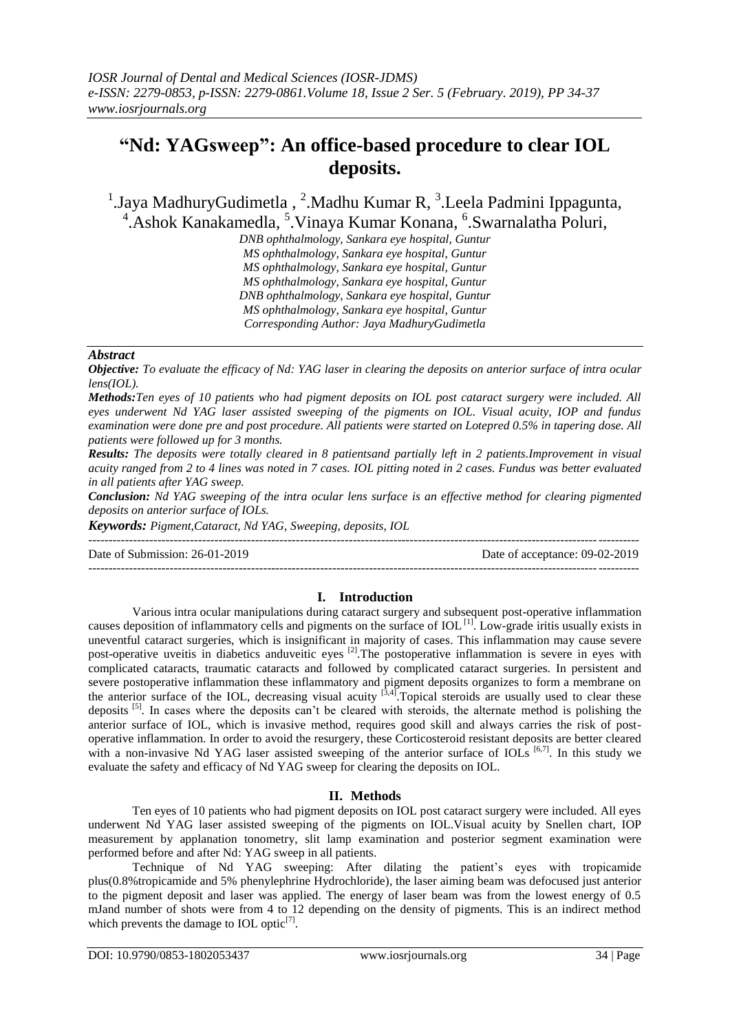# **"Nd: YAGsweep": An office-based procedure to clear IOL deposits.**

<sup>1</sup>.Jaya MadhuryGudimetla, <sup>2</sup>.Madhu Kumar R, <sup>3</sup>.Leela Padmini Ippagunta, <sup>4</sup>. Ashok Kanakamedla, <sup>5</sup>. Vinaya Kumar Konana, <sup>6</sup>. Swarnalatha Poluri,

*DNB ophthalmology, Sankara eye hospital, Guntur MS ophthalmology, Sankara eye hospital, Guntur MS ophthalmology, Sankara eye hospital, Guntur MS ophthalmology, Sankara eye hospital, Guntur DNB ophthalmology, Sankara eye hospital, Guntur MS ophthalmology, Sankara eye hospital, Guntur Corresponding Author: Jaya MadhuryGudimetla*

# *Abstract*

*Objective: To evaluate the efficacy of Nd: YAG laser in clearing the deposits on anterior surface of intra ocular lens(IOL).*

*Methods:Ten eyes of 10 patients who had pigment deposits on IOL post cataract surgery were included. All eyes underwent Nd YAG laser assisted sweeping of the pigments on IOL. Visual acuity, IOP and fundus examination were done pre and post procedure. All patients were started on Lotepred 0.5% in tapering dose. All patients were followed up for 3 months.*

*Results: The deposits were totally cleared in 8 patientsand partially left in 2 patients.Improvement in visual acuity ranged from 2 to 4 lines was noted in 7 cases. IOL pitting noted in 2 cases. Fundus was better evaluated in all patients after YAG sweep.*

*Conclusion: Nd YAG sweeping of the intra ocular lens surface is an effective method for clearing pigmented deposits on anterior surface of IOLs.*

*Keywords: Pigment,Cataract, Nd YAG, Sweeping, deposits, IOL*

--------------------------------------------------------------------------------------------------------------------------------------- Date of Submission: 26-01-2019 Date of acceptance: 09-02-2019

---------------------------------------------------------------------------------------------------------------------------------------

# **I. Introduction**

Various intra ocular manipulations during cataract surgery and subsequent post-operative inflammation causes deposition of inflammatory cells and pigments on the surface of IOL<sup>[1]</sup>. Low-grade iritis usually exists in uneventful cataract surgeries, which is insignificant in majority of cases. This inflammation may cause severe post-operative uveitis in diabetics anduveitic eyes <sup>[2]</sup>. The postoperative inflammation is severe in eyes with complicated cataracts, traumatic cataracts and followed by complicated cataract surgeries. In persistent and severe postoperative inflammation these inflammatory and pigment deposits organizes to form a membrane on the anterior surface of the IOL, decreasing visual acuity  $^{[3,4]}$ . Topical steroids are usually used to clear these deposits <sup>[5]</sup>. In cases where the deposits can't be cleared with steroids, the alternate method is polishing the anterior surface of IOL, which is invasive method, requires good skill and always carries the risk of postoperative inflammation. In order to avoid the resurgery, these Corticosteroid resistant deposits are better cleared with a non-invasive Nd YAG laser assisted sweeping of the anterior surface of IOLs  $[6,7]$ . In this study we evaluate the safety and efficacy of Nd YAG sweep for clearing the deposits on IOL.

## **II. Methods**

Ten eyes of 10 patients who had pigment deposits on IOL post cataract surgery were included. All eyes underwent Nd YAG laser assisted sweeping of the pigments on IOL.Visual acuity by Snellen chart, IOP measurement by applanation tonometry, slit lamp examination and posterior segment examination were performed before and after Nd: YAG sweep in all patients.

Technique of Nd YAG sweeping: After dilating the patient's eyes with tropicamide plus(0.8%tropicamide and 5% phenylephrine Hydrochloride), the laser aiming beam was defocused just anterior to the pigment deposit and laser was applied. The energy of laser beam was from the lowest energy of 0.5 mJand number of shots were from 4 to 12 depending on the density of pigments. This is an indirect method which prevents the damage to IOL optic $^{[7]}$ .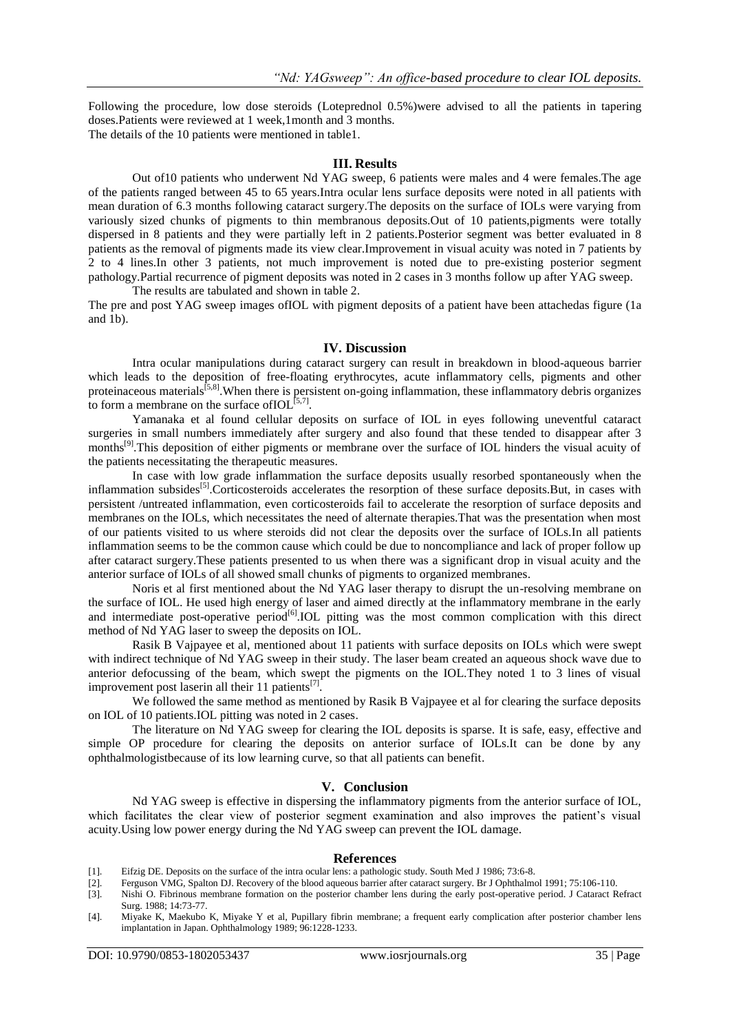Following the procedure, low dose steroids (Loteprednol 0.5%)were advised to all the patients in tapering doses.Patients were reviewed at 1 week,1month and 3 months. The details of the 10 patients were mentioned in table1.

#### **III. Results**

Out of10 patients who underwent Nd YAG sweep, 6 patients were males and 4 were females.The age of the patients ranged between 45 to 65 years.Intra ocular lens surface deposits were noted in all patients with mean duration of 6.3 months following cataract surgery.The deposits on the surface of IOLs were varying from variously sized chunks of pigments to thin membranous deposits.Out of 10 patients,pigments were totally dispersed in 8 patients and they were partially left in 2 patients.Posterior segment was better evaluated in 8 patients as the removal of pigments made its view clear.Improvement in visual acuity was noted in 7 patients by 2 to 4 lines.In other 3 patients, not much improvement is noted due to pre-existing posterior segment pathology.Partial recurrence of pigment deposits was noted in 2 cases in 3 months follow up after YAG sweep. The results are tabulated and shown in table 2.

The pre and post YAG sweep images ofIOL with pigment deposits of a patient have been attachedas figure (1a and 1b).

#### **IV. Discussion**

Intra ocular manipulations during cataract surgery can result in breakdown in blood-aqueous barrier which leads to the deposition of free-floating erythrocytes, acute inflammatory cells, pigments and other proteinaceous materials<sup>[5,8]</sup>. When there is persistent on-going inflammation, these inflammatory debris organizes to form a membrane on the surface of  $IOL^{[5,7]}$ .

Yamanaka et al found cellular deposits on surface of IOL in eyes following uneventful cataract surgeries in small numbers immediately after surgery and also found that these tended to disappear after 3 months<sup>[9]</sup>. This deposition of either pigments or membrane over the surface of IOL hinders the visual acuity of the patients necessitating the therapeutic measures.

In case with low grade inflammation the surface deposits usually resorbed spontaneously when the inflammation subsides<sup>[5]</sup>.Corticosteroids accelerates the resorption of these surface deposits.But, in cases with persistent /untreated inflammation, even corticosteroids fail to accelerate the resorption of surface deposits and membranes on the IOLs, which necessitates the need of alternate therapies.That was the presentation when most of our patients visited to us where steroids did not clear the deposits over the surface of IOLs.In all patients inflammation seems to be the common cause which could be due to noncompliance and lack of proper follow up after cataract surgery.These patients presented to us when there was a significant drop in visual acuity and the anterior surface of IOLs of all showed small chunks of pigments to organized membranes.

Noris et al first mentioned about the Nd YAG laser therapy to disrupt the un-resolving membrane on the surface of IOL. He used high energy of laser and aimed directly at the inflammatory membrane in the early and intermediate post-operative period<sup>[6]</sup>.IOL pitting was the most common complication with this direct method of Nd YAG laser to sweep the deposits on IOL.

Rasik B Vajpayee et al, mentioned about 11 patients with surface deposits on IOLs which were swept with indirect technique of Nd YAG sweep in their study. The laser beam created an aqueous shock wave due to anterior defocussing of the beam, which swept the pigments on the IOL.They noted 1 to 3 lines of visual improvement post laserin all their 11 patients $^{[7]}$ .

We followed the same method as mentioned by Rasik B Vajpayee et al for clearing the surface deposits on IOL of 10 patients.IOL pitting was noted in 2 cases.

The literature on Nd YAG sweep for clearing the IOL deposits is sparse. It is safe, easy, effective and simple OP procedure for clearing the deposits on anterior surface of IOLs.It can be done by any ophthalmologistbecause of its low learning curve, so that all patients can benefit.

### **V. Conclusion**

Nd YAG sweep is effective in dispersing the inflammatory pigments from the anterior surface of IOL, which facilitates the clear view of posterior segment examination and also improves the patient's visual acuity.Using low power energy during the Nd YAG sweep can prevent the IOL damage.

#### **References**

- [1]. Eifzig DE. Deposits on the surface of the intra ocular lens: a pathologic study. South Med J 1986; 73:6-8.
- [2]. Ferguson VMG, Spalton DJ. Recovery of the blood aqueous barrier after cataract surgery. Br J Ophthalmol 1991; 75:106-110.
- [3]. Nishi O. Fibrinous membrane formation on the posterior chamber lens during the early post-operative period. J Cataract Refract Surg. 1988; 14:73-77.
- [4]. Miyake K, Maekubo K, Miyake Y et al, Pupillary fibrin membrane; a frequent early complication after posterior chamber lens implantation in Japan. Ophthalmology 1989; 96:1228-1233.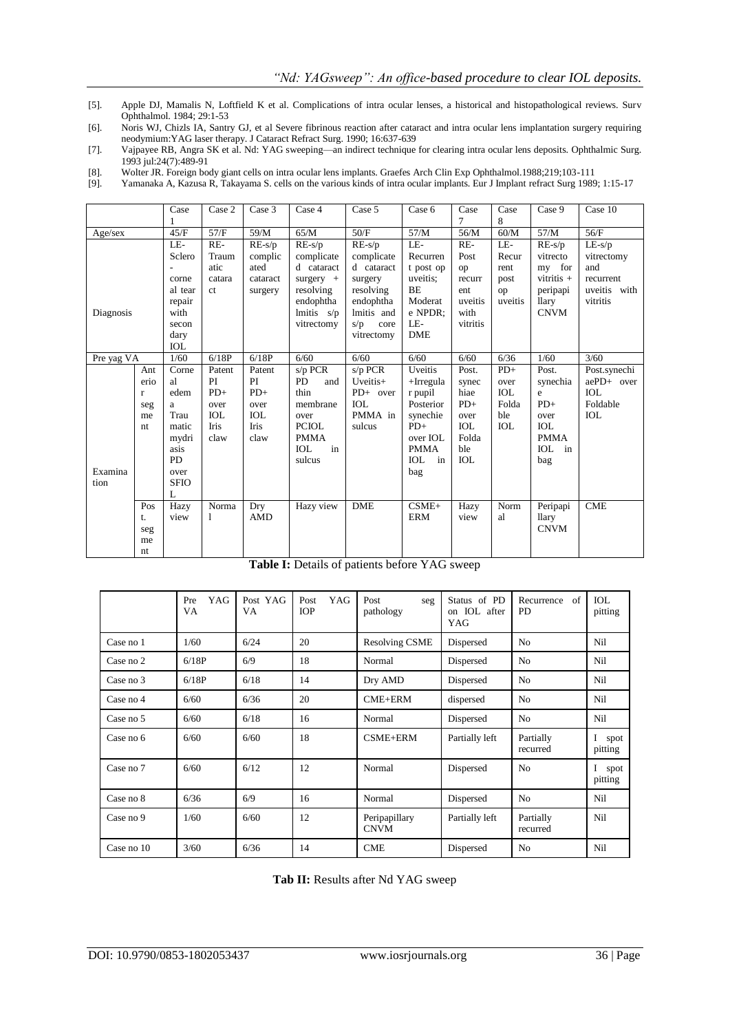[5]. Apple DJ, Mamalis N, Loftfield K et al. Complications of intra ocular lenses, a historical and histopathological reviews. Surv Ophthalmol. 1984; 29:1-53

[6]. Noris WJ, Chizls IA, Santry GJ, et al Severe fibrinous reaction after cataract and intra ocular lens implantation surgery requiring neodymium:YAG laser therapy. J Cataract Refract Surg. 1990; 16:637-639

[7]. Vajpayee RB, Angra SK et al. Nd: YAG sweeping—an indirect technique for clearing intra ocular lens deposits. Ophthalmic Surg. 1993 jul:24(7):489-91

[8]. Wolter JR. Foreign body giant cells on intra ocular lens implants. Graefes Arch Clin Exp Ophthalmol.1988;219;103-111

[9]. Yamanaka A, Kazusa R, Takayama S. cells on the various kinds of intra ocular implants. Eur J Implant refract Surg 1989; 1:15-17

|            |              | Case        | Case 2        | Case 3     | Case 4           | Case 5      | Case 6           | Case<br>7  | Case<br>8  | Case 9           | Case 10      |
|------------|--------------|-------------|---------------|------------|------------------|-------------|------------------|------------|------------|------------------|--------------|
| Age/sec    |              | 45/F        | 57/F          | 59/M       | 65/M             | 50/F        | 57/M             | 56/M       | 60/M       | 57/M             | 56/F         |
|            |              | LE-         | RE-           | $RE-s/p$   | $RE-s/p$         | $RE-s/p$    | LE-              | RE-        | LE-        | $RE-s/p$         | $LE-s/p$     |
|            |              | Sclero      | Traum         | complic    | complicate       | complicate  | Recurren         | Post       | Recur      | vitrecto         | vitrectomy   |
|            |              |             | atic          | ated       | d cataract       | d cataract  | t post op        | op         | rent       | my for           | and          |
|            |              | corne       | catara        | cataract   | $surgery +$      | surgery     | uveitis:         | recurr     | post       | vitritis $+$     | recurrent    |
|            |              | al tear     | <sub>ct</sub> | surgery    | resolving        | resolving   | <b>BE</b>        | ent        | op         | peripapi         | uveitis with |
|            |              | repair      |               |            | endophtha        | endophtha   | Moderat          | uveitis    | uveitis    | <i>llary</i>     | vitritis     |
| Diagnosis  |              | with        |               |            | lmitis $s/p$     | lmitis and  | e NPDR;          | with       |            | <b>CNVM</b>      |              |
|            |              | secon       |               |            | vitrectomy       | s/p<br>core | LE-              | vitritis   |            |                  |              |
|            |              | dary        |               |            |                  | vitrectomy  | <b>DME</b>       |            |            |                  |              |
|            |              | <b>IOL</b>  |               |            |                  |             |                  |            |            |                  |              |
| Pre yag VA |              | 1/60        | 6/18P         | 6/18P      | 6/60             | 6/60        | 6/60             | 6/60       | 6/36       | 1/60             | 3/60         |
|            | Ant          | Corne       | Patent        | Patent     | s/p PCR          | s/p PCR     | Uveitis          | Post.      | $PD+$      | Post.            | Post.synechi |
|            | erio         | al          | PI            | PI         | PD<br>and        | Uveitis+    | $+Irregular$     | synec      | over       | synechia         | aePD+ over   |
|            | $\mathbf{r}$ | edem        | $PD+$         | $PD+$      | thin             | PD+ over    | r pupil          | hiae       | <b>IOL</b> | e                | <b>IOL</b>   |
|            | seg          | a           | over          | over       | membrane         | <b>IOL</b>  | Posterior        | $PD+$      | Folda      | $PD+$            | Foldable     |
|            | me           | Trau        | <b>IOL</b>    | <b>IOL</b> | over             | PMMA in     | synechie         | over       | ble        | over             | <b>IOL</b>   |
|            | nt           | matic       | Iris          | Iris       | <b>PCIOL</b>     | sulcus      | $PD+$            | <b>IOL</b> | <b>IOL</b> | <b>IOL</b>       |              |
|            |              | mydri       | claw          | claw       | <b>PMMA</b>      |             | over IOL         | Folda      |            | <b>PMMA</b>      |              |
|            |              | asis        |               |            | in<br><b>IOL</b> |             | <b>PMMA</b>      | ble        |            | <b>IOL</b><br>in |              |
|            |              | <b>PD</b>   |               |            | sulcus           |             | <b>IOL</b><br>in | <b>IOL</b> |            | bag              |              |
| Examina    |              | over        |               |            |                  |             | bag              |            |            |                  |              |
| tion       |              | <b>SFIO</b> |               |            |                  |             |                  |            |            |                  |              |
|            |              | L           |               |            |                  |             |                  |            |            |                  |              |
|            | Pos          | Hazy        | Norma         | Dry        | Hazy view        | <b>DME</b>  | $CSME+$          | Hazy       | Norm       | Peripapi         | <b>CME</b>   |
|            | t.           | view        | 1             | <b>AMD</b> |                  |             | <b>ERM</b>       | view       | al         | llary            |              |
|            | seg          |             |               |            |                  |             |                  |            |            | <b>CNVM</b>      |              |
|            | me           |             |               |            |                  |             |                  |            |            |                  |              |
|            | nt           |             |               |            |                  |             |                  |            |            |                  |              |

**Table I:** Details of patients before YAG sweep

|            | YAG<br>Pre<br>VA | Post YAG<br>VA | YAG<br>Post<br><b>IOP</b> | Post<br>seg<br>pathology                       | Status of PD<br>IOL after<br>on<br>YAG | Recurrence<br>of<br><b>PD</b> | IOL<br>pitting  |
|------------|------------------|----------------|---------------------------|------------------------------------------------|----------------------------------------|-------------------------------|-----------------|
| Case no 1  | 1/60             | 6/24           | 20                        | <b>Resolving CSME</b><br>Dispersed             |                                        | N <sub>o</sub>                | Nil             |
| Case no 2  | 6/18P            | 6/9            | 18                        | Normal                                         | Dispersed                              | N <sub>o</sub>                | Nil             |
| Case no 3  | 6/18P            | 6/18           | 14                        | Dry AMD                                        | Dispersed                              | N <sub>o</sub>                | Nil             |
| Case no 4  | 6/60             | 6/36           | 20                        | CME+ERM                                        | dispersed                              | N <sub>o</sub>                | Nil             |
| Case no 5  | 6/60             | 6/18           | 16                        | Normal                                         | Dispersed                              | N <sub>o</sub>                | Nil             |
| Case no 6  | 6/60             | 6/60           | 18                        | CSME+ERM                                       | Partially left                         | Partially<br>recurred         | spot<br>pitting |
| Case no 7  | 6/60             | 6/12           | 12                        | Normal                                         | Dispersed                              | N <sub>o</sub>                | spot<br>pitting |
| Case no 8  | 6/36             | 6/9            | 16                        | Normal                                         | Dispersed                              | N <sub>o</sub>                | Nil             |
| Case no 9  | 1/60             | 6/60           | 12                        | Partially left<br>Peripapillary<br><b>CNVM</b> |                                        | Partially<br>recurred         | Nil             |
| Case no 10 | 3/60             | 6/36           | 14                        | <b>CME</b>                                     | Dispersed                              | N <sub>o</sub>                | Nil             |

**Tab II:** Results after Nd YAG sweep